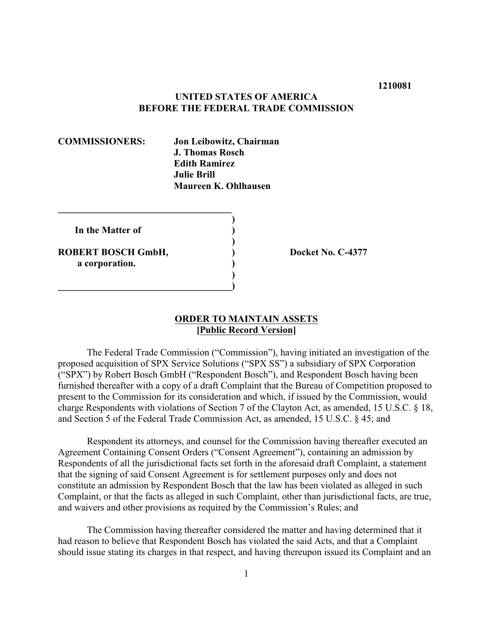#### **1210081**

#### **UNITED STATES OF AMERICA BEFORE THE FEDERAL TRADE COMMISSION**

**COMMISSIONERS: Jon Leibowitz, Chairman J. Thomas Rosch Edith Ramirez Julie Brill Maureen K. Ohlhausen** 

| In the Matter of   |  |
|--------------------|--|
| ROBERT BOSCH GmbH, |  |
| a corporation.     |  |

**\_\_\_\_\_\_\_\_\_\_\_\_\_\_\_\_\_\_\_\_\_\_\_\_\_\_\_\_\_\_\_\_\_\_\_\_** 

**Docket No. C-4377** 

## **ORDER TO MAINTAIN ASSETS [Public Record Version]**

The Federal Trade Commission ("Commission"), having initiated an investigation of the proposed acquisition of SPX Service Solutions ("SPX SS") a subsidiary of SPX Corporation ("SPX") by Robert Bosch GmbH ("Respondent Bosch"), and Respondent Bosch having been furnished thereafter with a copy of a draft Complaint that the Bureau of Competition proposed to present to the Commission for its consideration and which, if issued by the Commission, would charge Respondents with violations of Section 7 of the Clayton Act, as amended, 15 U.S.C. § 18, and Section 5 of the Federal Trade Commission Act, as amended, 15 U.S.C. § 45; and

Respondent its attorneys, and counsel for the Commission having thereafter executed an Agreement Containing Consent Orders ("Consent Agreement"), containing an admission by Respondents of all the jurisdictional facts set forth in the aforesaid draft Complaint, a statement that the signing of said Consent Agreement is for settlement purposes only and does not constitute an admission by Respondent Bosch that the law has been violated as alleged in such Complaint, or that the facts as alleged in such Complaint, other than jurisdictional facts, are true, and waivers and other provisions as required by the Commission's Rules; and

The Commission having thereafter considered the matter and having determined that it had reason to believe that Respondent Bosch has violated the said Acts, and that a Complaint should issue stating its charges in that respect, and having thereupon issued its Complaint and an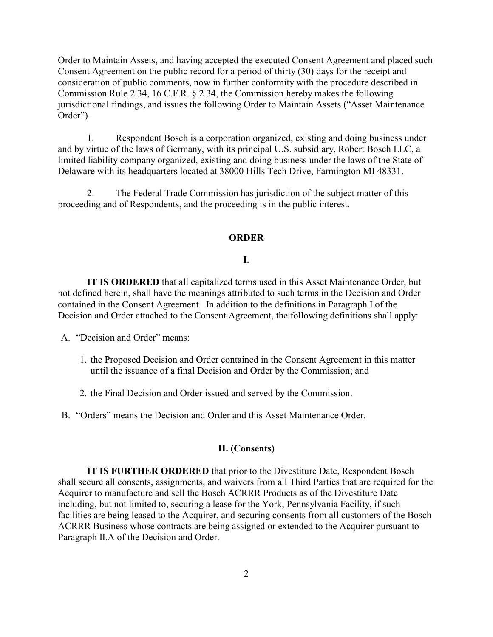Order to Maintain Assets, and having accepted the executed Consent Agreement and placed such Consent Agreement on the public record for a period of thirty (30) days for the receipt and consideration of public comments, now in further conformity with the procedure described in Commission Rule 2.34, 16 C.F.R. § 2.34, the Commission hereby makes the following jurisdictional findings, and issues the following Order to Maintain Assets ("Asset Maintenance Order").

1. Respondent Bosch is a corporation organized, existing and doing business under and by virtue of the laws of Germany, with its principal U.S. subsidiary, Robert Bosch LLC, a limited liability company organized, existing and doing business under the laws of the State of Delaware with its headquarters located at 38000 Hills Tech Drive, Farmington MI 48331.

2. The Federal Trade Commission has jurisdiction of the subject matter of this proceeding and of Respondents, and the proceeding is in the public interest.

#### **ORDER**

#### **I.**

**IT IS ORDERED** that all capitalized terms used in this Asset Maintenance Order, but not defined herein, shall have the meanings attributed to such terms in the Decision and Order contained in the Consent Agreement. In addition to the definitions in Paragraph I of the Decision and Order attached to the Consent Agreement, the following definitions shall apply:

A. "Decision and Order" means:

- 1. the Proposed Decision and Order contained in the Consent Agreement in this matter until the issuance of a final Decision and Order by the Commission; and
- 2. the Final Decision and Order issued and served by the Commission.

B. "Orders" means the Decision and Order and this Asset Maintenance Order.

## **II. (Consents)**

**IT IS FURTHER ORDERED** that prior to the Divestiture Date, Respondent Bosch shall secure all consents, assignments, and waivers from all Third Parties that are required for the Acquirer to manufacture and sell the Bosch ACRRR Products as of the Divestiture Date including, but not limited to, securing a lease for the York, Pennsylvania Facility, if such facilities are being leased to the Acquirer, and securing consents from all customers of the Bosch ACRRR Business whose contracts are being assigned or extended to the Acquirer pursuant to Paragraph II.A of the Decision and Order.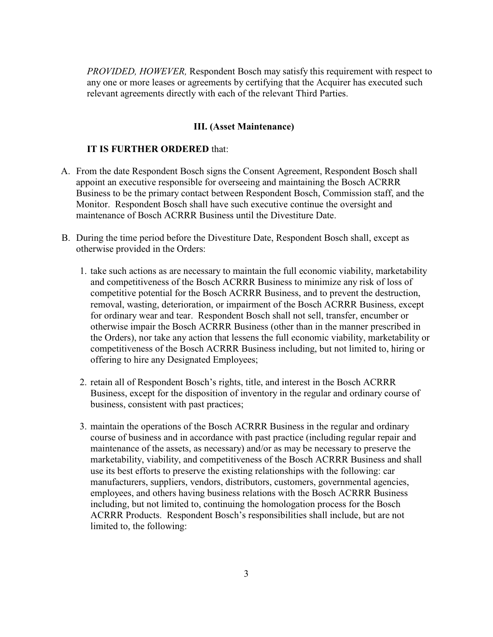*PROVIDED, HOWEVER,* Respondent Bosch may satisfy this requirement with respect to any one or more leases or agreements by certifying that the Acquirer has executed such relevant agreements directly with each of the relevant Third Parties.

#### **III.** (Asset Maintenance)

#### **IT IS FURTHER ORDERED** that:

- A. From the date Respondent Bosch signs the Consent Agreement, Respondent Bosch shall appoint an executive responsible for overseeing and maintaining the Bosch ACRRR Business to be the primary contact between Respondent Bosch, Commission staff, and the Monitor. Respondent Bosch shall have such executive continue the oversight and maintenance of Bosch ACRRR Business until the Divestiture Date.
- B. During the time period before the Divestiture Date, Respondent Bosch shall, except as otherwise provided in the Orders:
	- 1. take such actions as are necessary to maintain the full economic viability, marketability and competitiveness of the Bosch ACRRR Business to minimize any risk of loss of competitive potential for the Bosch ACRRR Business, and to prevent the destruction, removal, wasting, deterioration, or impairment of the Bosch ACRRR Business, except for ordinary wear and tear. Respondent Bosch shall not sell, transfer, encumber or otherwise impair the Bosch ACRRR Business (other than in the manner prescribed in the Orders), nor take any action that lessens the full economic viability, marketability or competitiveness of the Bosch ACRRR Business including, but not limited to, hiring or offering to hire any Designated Employees;
	- 2. retain all of Respondent Bosch's rights, title, and interest in the Bosch ACRRR Business, except for the disposition of inventory in the regular and ordinary course of business, consistent with past practices;
	- 3. maintain the operations of the Bosch ACRRR Business in the regular and ordinary course of business and in accordance with past practice (including regular repair and maintenance of the assets, as necessary) and/or as may be necessary to preserve the marketability, viability, and competitiveness of the Bosch ACRRR Business and shall use its best efforts to preserve the existing relationships with the following: car manufacturers, suppliers, vendors, distributors, customers, governmental agencies, employees, and others having business relations with the Bosch ACRRR Business including, but not limited to, continuing the homologation process for the Bosch ACRRR Products. Respondent Bosch's responsibilities shall include, but are not limited to, the following: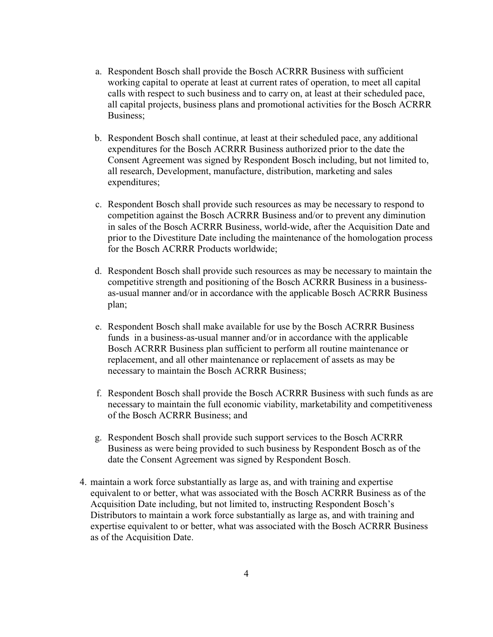- a. Respondent Bosch shall provide the Bosch ACRRR Business with sufficient working capital to operate at least at current rates of operation, to meet all capital calls with respect to such business and to carry on, at least at their scheduled pace, all capital projects, business plans and promotional activities for the Bosch ACRRR Business;
- b. Respondent Bosch shall continue, at least at their scheduled pace, any additional expenditures for the Bosch ACRRR Business authorized prior to the date the Consent Agreement was signed by Respondent Bosch including, but not limited to, all research, Development, manufacture, distribution, marketing and sales expenditures;
- c. Respondent Bosch shall provide such resources as may be necessary to respond to competition against the Bosch ACRRR Business and/or to prevent any diminution in sales of the Bosch ACRRR Business, world-wide, after the Acquisition Date and prior to the Divestiture Date including the maintenance of the homologation process for the Bosch ACRRR Products worldwide;
- d. Respondent Bosch shall provide such resources as may be necessary to maintain the competitive strength and positioning of the Bosch ACRRR Business in a businessas-usual manner and/or in accordance with the applicable Bosch ACRRR Business plan;
- e. Respondent Bosch shall make available for use by the Bosch ACRRR Business funds in a business-as-usual manner and/or in accordance with the applicable Bosch ACRRR Business plan sufficient to perform all routine maintenance or replacement, and all other maintenance or replacement of assets as may be necessary to maintain the Bosch ACRRR Business;
- f. Respondent Bosch shall provide the Bosch ACRRR Business with such funds as are necessary to maintain the full economic viability, marketability and competitiveness of the Bosch ACRRR Business; and
- g. Respondent Bosch shall provide such support services to the Bosch ACRRR Business as were being provided to such business by Respondent Bosch as of the date the Consent Agreement was signed by Respondent Bosch.
- 4. maintain a work force substantially as large as, and with training and expertise equivalent to or better, what was associated with the Bosch ACRRR Business as of the Acquisition Date including, but not limited to, instructing Respondent Bosch's Distributors to maintain a work force substantially as large as, and with training and expertise equivalent to or better, what was associated with the Bosch ACRRR Business as of the Acquisition Date.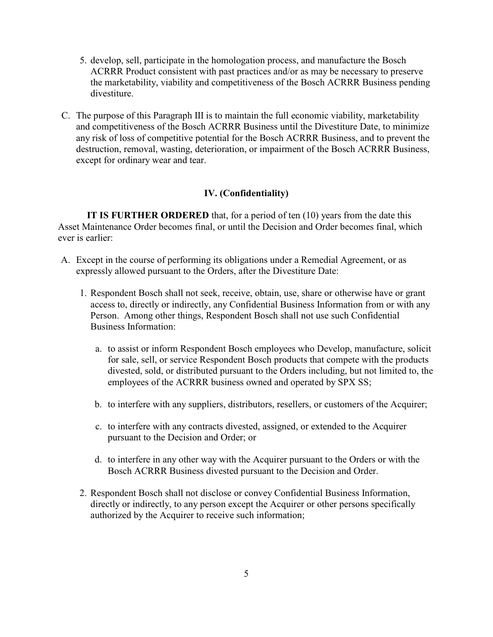- 5. develop, sell, participate in the homologation process, and manufacture the Bosch ACRRR Product consistent with past practices and/or as may be necessary to preserve the marketability, viability and competitiveness of the Bosch ACRRR Business pending divestiture.
- C. The purpose of this Paragraph III is to maintain the full economic viability, marketability and competitiveness of the Bosch ACRRR Business until the Divestiture Date, to minimize any risk of loss of competitive potential for the Bosch ACRRR Business, and to prevent the destruction, removal, wasting, deterioration, or impairment of the Bosch ACRRR Business, except for ordinary wear and tear.

## **IV. (Confidentiality)**

**IT IS FURTHER ORDERED** that, for a period of ten (10) years from the date this Asset Maintenance Order becomes final, or until the Decision and Order becomes final, which ever is earlier:

- A. Except in the course of performing its obligations under a Remedial Agreement, or as expressly allowed pursuant to the Orders, after the Divestiture Date:
	- 1. Respondent Bosch shall not seek, receive, obtain, use, share or otherwise have or grant access to, directly or indirectly, any Confidential Business Information from or with any Person. Among other things, Respondent Bosch shall not use such Confidential Business Information:
		- a. to assist or inform Respondent Bosch employees who Develop, manufacture, solicit for sale, sell, or service Respondent Bosch products that compete with the products divested, sold, or distributed pursuant to the Orders including, but not limited to, the employees of the ACRRR business owned and operated by SPX SS;
		- b. to interfere with any suppliers, distributors, resellers, or customers of the Acquirer;
		- c. to interfere with any contracts divested, assigned, or extended to the Acquirer pursuant to the Decision and Order; or
		- d. to interfere in any other way with the Acquirer pursuant to the Orders or with the Bosch ACRRR Business divested pursuant to the Decision and Order.
	- 2. Respondent Bosch shall not disclose or convey Confidential Business Information, directly or indirectly, to any person except the Acquirer or other persons specifically authorized by the Acquirer to receive such information;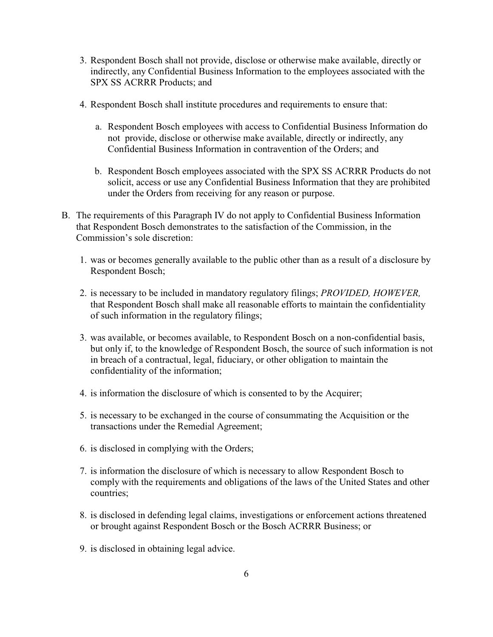- 3. Respondent Bosch shall not provide, disclose or otherwise make available, directly or indirectly, any Confidential Business Information to the employees associated with the SPX SS ACRRR Products; and
- 4. Respondent Bosch shall institute procedures and requirements to ensure that:
	- a. Respondent Bosch employees with access to Confidential Business Information do not provide, disclose or otherwise make available, directly or indirectly, any Confidential Business Information in contravention of the Orders; and
	- b. Respondent Bosch employees associated with the SPX SS ACRRR Products do not solicit, access or use any Confidential Business Information that they are prohibited under the Orders from receiving for any reason or purpose.
- B. The requirements of this Paragraph IV do not apply to Confidential Business Information that Respondent Bosch demonstrates to the satisfaction of the Commission, in the Commission's sole discretion:
	- 1. was or becomes generally available to the public other than as a result of a disclosure by Respondent Bosch;
	- 2. is necessary to be included in mandatory regulatory filings; *PROVIDED, HOWEVER,*  that Respondent Bosch shall make all reasonable efforts to maintain the confidentiality of such information in the regulatory filings;
	- 3. was available, or becomes available, to Respondent Bosch on a non-confidential basis, but only if, to the knowledge of Respondent Bosch, the source of such information is not in breach of a contractual, legal, fiduciary, or other obligation to maintain the confidentiality of the information;
	- 4. is information the disclosure of which is consented to by the Acquirer;
	- 5. is necessary to be exchanged in the course of consummating the Acquisition or the transactions under the Remedial Agreement;
	- 6. is disclosed in complying with the Orders;
	- 7. is information the disclosure of which is necessary to allow Respondent Bosch to comply with the requirements and obligations of the laws of the United States and other countries;
	- 8. is disclosed in defending legal claims, investigations or enforcement actions threatened or brought against Respondent Bosch or the Bosch ACRRR Business; or
	- 9. is disclosed in obtaining legal advice.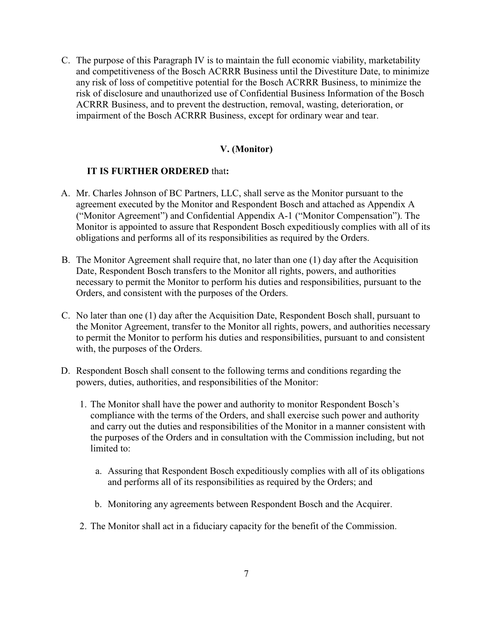C. The purpose of this Paragraph IV is to maintain the full economic viability, marketability and competitiveness of the Bosch ACRRR Business until the Divestiture Date, to minimize any risk of loss of competitive potential for the Bosch ACRRR Business, to minimize the risk of disclosure and unauthorized use of Confidential Business Information of the Bosch ACRRR Business, and to prevent the destruction, removal, wasting, deterioration, or impairment of the Bosch ACRRR Business, except for ordinary wear and tear.

## **V. (Monitor)**

#### **IT IS FURTHER ORDERED** that**:**

- A. Mr. Charles Johnson of BC Partners, LLC, shall serve as the Monitor pursuant to the agreement executed by the Monitor and Respondent Bosch and attached as Appendix A ("Monitor Agreement") and Confidential Appendix A-1 ("Monitor Compensation"). The Monitor is appointed to assure that Respondent Bosch expeditiously complies with all of its obligations and performs all of its responsibilities as required by the Orders.
- B. The Monitor Agreement shall require that, no later than one (1) day after the Acquisition Date, Respondent Bosch transfers to the Monitor all rights, powers, and authorities necessary to permit the Monitor to perform his duties and responsibilities, pursuant to the Orders, and consistent with the purposes of the Orders.
- C. No later than one (1) day after the Acquisition Date, Respondent Bosch shall, pursuant to the Monitor Agreement, transfer to the Monitor all rights, powers, and authorities necessary to permit the Monitor to perform his duties and responsibilities, pursuant to and consistent with, the purposes of the Orders.
- D. Respondent Bosch shall consent to the following terms and conditions regarding the powers, duties, authorities, and responsibilities of the Monitor:
	- 1. The Monitor shall have the power and authority to monitor Respondent Bosch's compliance with the terms of the Orders, and shall exercise such power and authority and carry out the duties and responsibilities of the Monitor in a manner consistent with the purposes of the Orders and in consultation with the Commission including, but not limited to:
		- a. Assuring that Respondent Bosch expeditiously complies with all of its obligations and performs all of its responsibilities as required by the Orders; and
		- b. Monitoring any agreements between Respondent Bosch and the Acquirer.
	- 2. The Monitor shall act in a fiduciary capacity for the benefit of the Commission.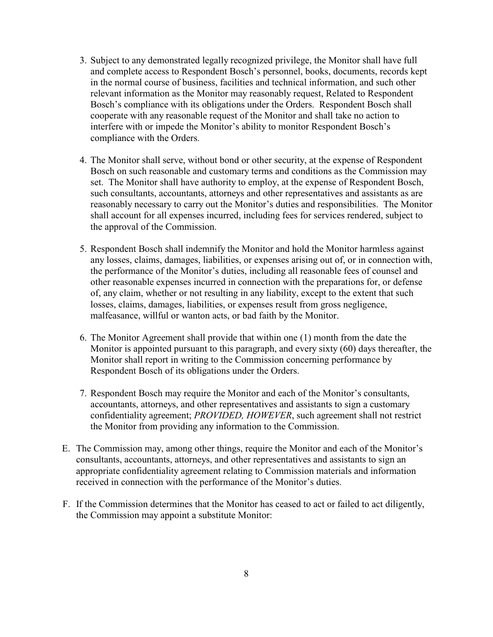- 3. Subject to any demonstrated legally recognized privilege, the Monitor shall have full and complete access to Respondent Bosch's personnel, books, documents, records kept in the normal course of business, facilities and technical information, and such other relevant information as the Monitor may reasonably request, Related to Respondent Bosch's compliance with its obligations under the Orders. Respondent Bosch shall cooperate with any reasonable request of the Monitor and shall take no action to interfere with or impede the Monitor's ability to monitor Respondent Bosch's compliance with the Orders.
- 4. The Monitor shall serve, without bond or other security, at the expense of Respondent Bosch on such reasonable and customary terms and conditions as the Commission may set. The Monitor shall have authority to employ, at the expense of Respondent Bosch, such consultants, accountants, attorneys and other representatives and assistants as are reasonably necessary to carry out the Monitor's duties and responsibilities. The Monitor shall account for all expenses incurred, including fees for services rendered, subject to the approval of the Commission.
- 5. Respondent Bosch shall indemnify the Monitor and hold the Monitor harmless against any losses, claims, damages, liabilities, or expenses arising out of, or in connection with, the performance of the Monitor's duties, including all reasonable fees of counsel and other reasonable expenses incurred in connection with the preparations for, or defense of, any claim, whether or not resulting in any liability, except to the extent that such losses, claims, damages, liabilities, or expenses result from gross negligence, malfeasance, willful or wanton acts, or bad faith by the Monitor.
- 6. The Monitor Agreement shall provide that within one (1) month from the date the Monitor is appointed pursuant to this paragraph, and every sixty (60) days thereafter, the Monitor shall report in writing to the Commission concerning performance by Respondent Bosch of its obligations under the Orders.
- 7. Respondent Bosch may require the Monitor and each of the Monitor's consultants, accountants, attorneys, and other representatives and assistants to sign a customary confidentiality agreement; *PROVIDED, HOWEVER*, such agreement shall not restrict the Monitor from providing any information to the Commission.
- E. The Commission may, among other things, require the Monitor and each of the Monitor's consultants, accountants, attorneys, and other representatives and assistants to sign an appropriate confidentiality agreement relating to Commission materials and information received in connection with the performance of the Monitor's duties.
- F. If the Commission determines that the Monitor has ceased to act or failed to act diligently, the Commission may appoint a substitute Monitor: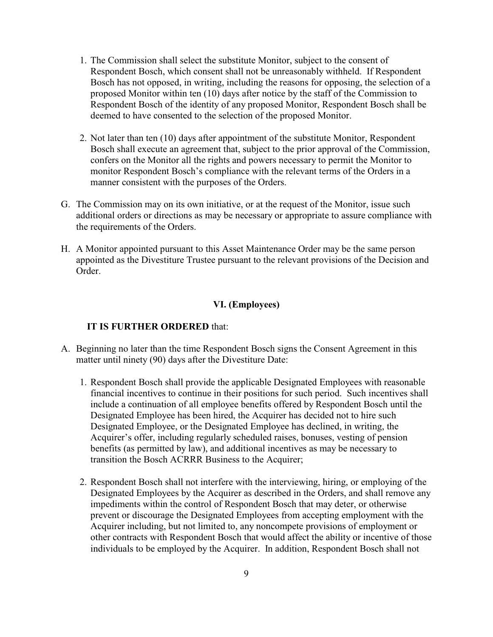- 1. The Commission shall select the substitute Monitor, subject to the consent of Respondent Bosch, which consent shall not be unreasonably withheld. If Respondent Bosch has not opposed, in writing, including the reasons for opposing, the selection of a proposed Monitor within ten (10) days after notice by the staff of the Commission to Respondent Bosch of the identity of any proposed Monitor, Respondent Bosch shall be deemed to have consented to the selection of the proposed Monitor.
- 2. Not later than ten (10) days after appointment of the substitute Monitor, Respondent Bosch shall execute an agreement that, subject to the prior approval of the Commission, confers on the Monitor all the rights and powers necessary to permit the Monitor to monitor Respondent Bosch's compliance with the relevant terms of the Orders in a manner consistent with the purposes of the Orders.
- G. The Commission may on its own initiative, or at the request of the Monitor, issue such additional orders or directions as may be necessary or appropriate to assure compliance with the requirements of the Orders.
- H. A Monitor appointed pursuant to this Asset Maintenance Order may be the same person appointed as the Divestiture Trustee pursuant to the relevant provisions of the Decision and Order.

# **VI. (Employees)**

# **IT IS FURTHER ORDERED** that:

- A. Beginning no later than the time Respondent Bosch signs the Consent Agreement in this matter until ninety (90) days after the Divestiture Date:
	- 1. Respondent Bosch shall provide the applicable Designated Employees with reasonable financial incentives to continue in their positions for such period. Such incentives shall include a continuation of all employee benefits offered by Respondent Bosch until the Designated Employee has been hired, the Acquirer has decided not to hire such Designated Employee, or the Designated Employee has declined, in writing, the Acquirer's offer, including regularly scheduled raises, bonuses, vesting of pension benefits (as permitted by law), and additional incentives as may be necessary to transition the Bosch ACRRR Business to the Acquirer;
	- 2. Respondent Bosch shall not interfere with the interviewing, hiring, or employing of the Designated Employees by the Acquirer as described in the Orders, and shall remove any impediments within the control of Respondent Bosch that may deter, or otherwise prevent or discourage the Designated Employees from accepting employment with the Acquirer including, but not limited to, any noncompete provisions of employment or other contracts with Respondent Bosch that would affect the ability or incentive of those individuals to be employed by the Acquirer. In addition, Respondent Bosch shall not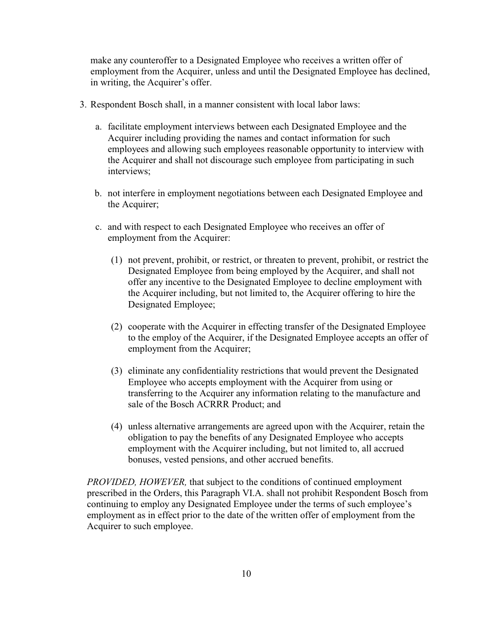make any counteroffer to a Designated Employee who receives a written offer of employment from the Acquirer, unless and until the Designated Employee has declined, in writing, the Acquirer's offer.

- 3. Respondent Bosch shall, in a manner consistent with local labor laws:
	- a. facilitate employment interviews between each Designated Employee and the Acquirer including providing the names and contact information for such employees and allowing such employees reasonable opportunity to interview with the Acquirer and shall not discourage such employee from participating in such interviews;
	- b. not interfere in employment negotiations between each Designated Employee and the Acquirer;
	- c. and with respect to each Designated Employee who receives an offer of employment from the Acquirer:
		- (1) not prevent, prohibit, or restrict, or threaten to prevent, prohibit, or restrict the Designated Employee from being employed by the Acquirer, and shall not offer any incentive to the Designated Employee to decline employment with the Acquirer including, but not limited to, the Acquirer offering to hire the Designated Employee;
		- (2) cooperate with the Acquirer in effecting transfer of the Designated Employee to the employ of the Acquirer, if the Designated Employee accepts an offer of employment from the Acquirer;
		- (3) eliminate any confidentiality restrictions that would prevent the Designated Employee who accepts employment with the Acquirer from using or transferring to the Acquirer any information relating to the manufacture and sale of the Bosch ACRRR Product; and
		- (4) unless alternative arrangements are agreed upon with the Acquirer, retain the obligation to pay the benefits of any Designated Employee who accepts employment with the Acquirer including, but not limited to, all accrued bonuses, vested pensions, and other accrued benefits.

*PROVIDED, HOWEVER,* that subject to the conditions of continued employment prescribed in the Orders, this Paragraph VI.A. shall not prohibit Respondent Bosch from continuing to employ any Designated Employee under the terms of such employee's employment as in effect prior to the date of the written offer of employment from the Acquirer to such employee.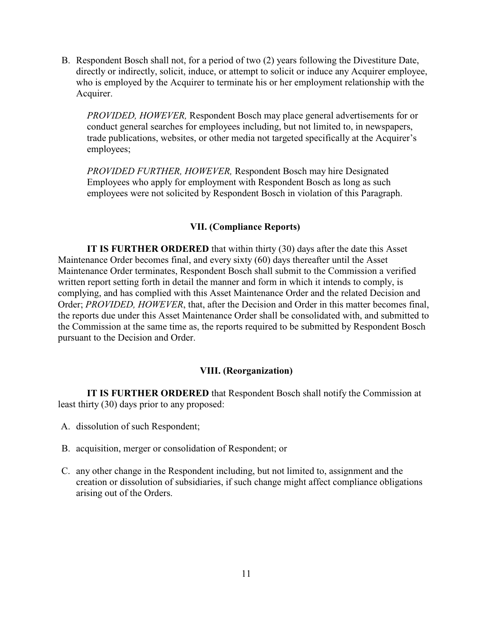B. Respondent Bosch shall not, for a period of two (2) years following the Divestiture Date, directly or indirectly, solicit, induce, or attempt to solicit or induce any Acquirer employee, who is employed by the Acquirer to terminate his or her employment relationship with the Acquirer.

*PROVIDED, HOWEVER,* Respondent Bosch may place general advertisements for or conduct general searches for employees including, but not limited to, in newspapers, trade publications, websites, or other media not targeted specifically at the Acquirer's employees;

*PROVIDED FURTHER, HOWEVER,* Respondent Bosch may hire Designated Employees who apply for employment with Respondent Bosch as long as such employees were not solicited by Respondent Bosch in violation of this Paragraph.

# **VII. (Compliance Reports)**

**IT IS FURTHER ORDERED** that within thirty (30) days after the date this Asset Maintenance Order becomes final, and every sixty (60) days thereafter until the Asset Maintenance Order terminates, Respondent Bosch shall submit to the Commission a verified written report setting forth in detail the manner and form in which it intends to comply, is complying, and has complied with this Asset Maintenance Order and the related Decision and Order; *PROVIDED, HOWEVER*, that, after the Decision and Order in this matter becomes final, the reports due under this Asset Maintenance Order shall be consolidated with, and submitted to the Commission at the same time as, the reports required to be submitted by Respondent Bosch pursuant to the Decision and Order.

#### **VIII. (Reorganization)**

**IT IS FURTHER ORDERED** that Respondent Bosch shall notify the Commission at least thirty (30) days prior to any proposed:

- A. dissolution of such Respondent;
- B. acquisition, merger or consolidation of Respondent; or
- C. any other change in the Respondent including, but not limited to, assignment and the creation or dissolution of subsidiaries, if such change might affect compliance obligations arising out of the Orders.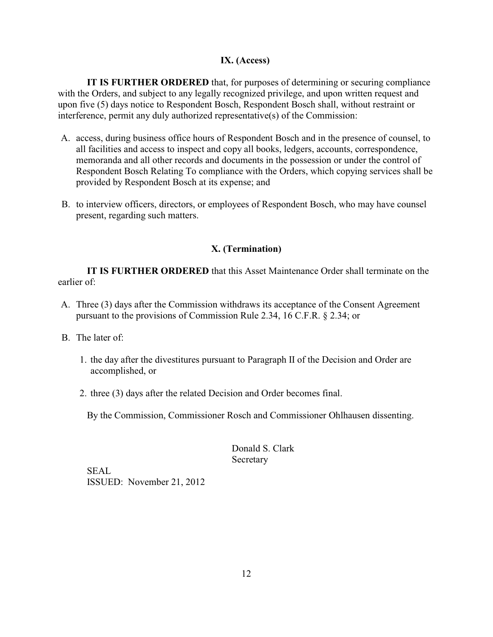# **IX. (Access)**

**IT IS FURTHER ORDERED** that, for purposes of determining or securing compliance with the Orders, and subject to any legally recognized privilege, and upon written request and upon five (5) days notice to Respondent Bosch, Respondent Bosch shall, without restraint or interference, permit any duly authorized representative(s) of the Commission:

- A. access, during business office hours of Respondent Bosch and in the presence of counsel, to all facilities and access to inspect and copy all books, ledgers, accounts, correspondence, memoranda and all other records and documents in the possession or under the control of Respondent Bosch Relating To compliance with the Orders, which copying services shall be provided by Respondent Bosch at its expense; and
- B. to interview officers, directors, or employees of Respondent Bosch, who may have counsel present, regarding such matters.

# **X. (Termination)**

**IT IS FURTHER ORDERED** that this Asset Maintenance Order shall terminate on the earlier of:

- A. Three (3) days after the Commission withdraws its acceptance of the Consent Agreement pursuant to the provisions of Commission Rule 2.34, 16 C.F.R. § 2.34; or
- B. The later of:
	- 1. the day after the divestitures pursuant to Paragraph II of the Decision and Order are accomplished, or
	- 2. three (3) days after the related Decision and Order becomes final.

By the Commission, Commissioner Rosch and Commissioner Ohlhausen dissenting.

Donald S. Clark Secretary

SEAL ISSUED: November 21, 2012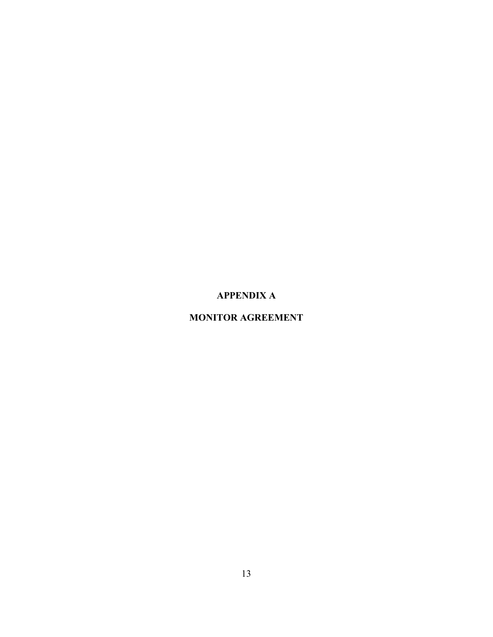# **APPENDIX A**

# **MONITOR AGREEMENT**